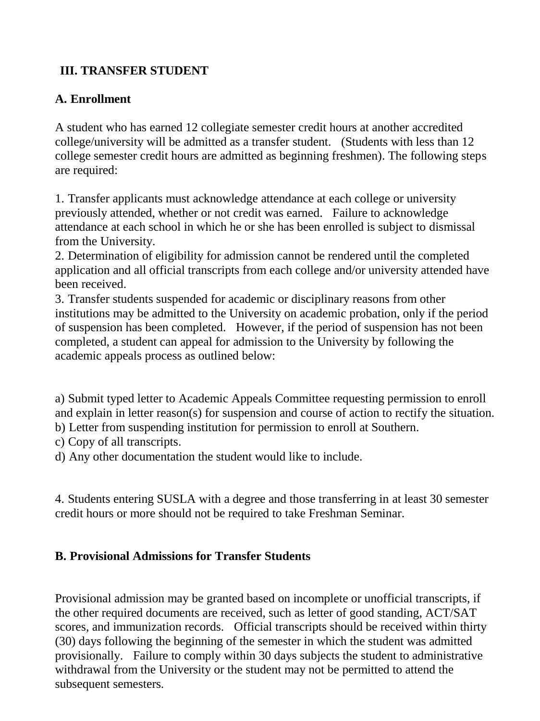# **III. TRANSFER STUDENT**

### **A. Enrollment**

A student who has earned 12 collegiate semester credit hours at another accredited college/university will be admitted as a transfer student. (Students with less than 12 college semester credit hours are admitted as beginning freshmen). The following steps are required:

1. Transfer applicants must acknowledge attendance at each college or university previously attended, whether or not credit was earned. Failure to acknowledge attendance at each school in which he or she has been enrolled is subject to dismissal from the University.

2. Determination of eligibility for admission cannot be rendered until the completed application and all official transcripts from each college and/or university attended have been received.

3. Transfer students suspended for academic or disciplinary reasons from other institutions may be admitted to the University on academic probation, only if the period of suspension has been completed. However, if the period of suspension has not been completed, a student can appeal for admission to the University by following the academic appeals process as outlined below:

a) Submit typed letter to Academic Appeals Committee requesting permission to enroll and explain in letter reason(s) for suspension and course of action to rectify the situation. b) Letter from suspending institution for permission to enroll at Southern.

c) Copy of all transcripts.

d) Any other documentation the student would like to include.

4. Students entering SUSLA with a degree and those transferring in at least 30 semester credit hours or more should not be required to take Freshman Seminar.

#### **B. Provisional Admissions for Transfer Students**

Provisional admission may be granted based on incomplete or unofficial transcripts, if the other required documents are received, such as letter of good standing, ACT/SAT scores, and immunization records. Official transcripts should be received within thirty (30) days following the beginning of the semester in which the student was admitted provisionally. Failure to comply within 30 days subjects the student to administrative withdrawal from the University or the student may not be permitted to attend the subsequent semesters.